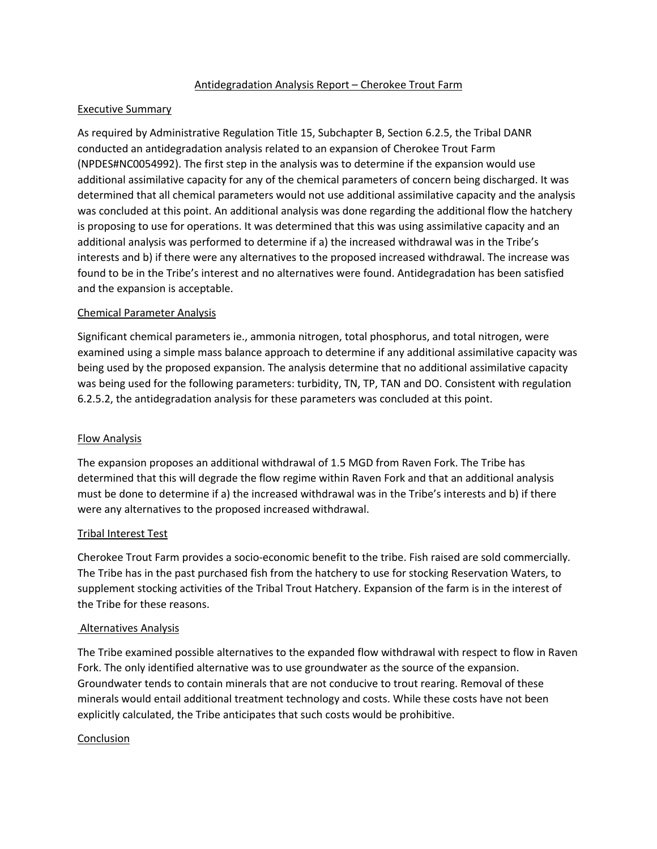# Antidegradation Analysis Report – Cherokee Trout Farm

# Executive Summary

As required by Administrative Regulation Title 15, Subchapter B, Section 6.2.5, the Tribal DANR conducted an antidegradation analysis related to an expansion of Cherokee Trout Farm (NPDES#NC0054992). The first step in the analysis was to determine if the expansion would use additional assimilative capacity for any of the chemical parameters of concern being discharged. It was determined that all chemical parameters would not use additional assimilative capacity and the analysis was concluded at this point. An additional analysis was done regarding the additional flow the hatchery is proposing to use for operations. It was determined that this was using assimilative capacity and an additional analysis was performed to determine if a) the increased withdrawal was in the Tribe's interests and b) if there were any alternatives to the proposed increased withdrawal. The increase was found to be in the Tribe's interest and no alternatives were found. Antidegradation has been satisfied and the expansion is acceptable.

# Chemical Parameter Analysis

Significant chemical parameters ie., ammonia nitrogen, total phosphorus, and total nitrogen, were examined using a simple mass balance approach to determine if any additional assimilative capacity was being used by the proposed expansion. The analysis determine that no additional assimilative capacity was being used for the following parameters: turbidity, TN, TP, TAN and DO. Consistent with regulation 6.2.5.2, the antidegradation analysis for these parameters was concluded at this point.

# Flow Analysis

The expansion proposes an additional withdrawal of 1.5 MGD from Raven Fork. The Tribe has determined that this will degrade the flow regime within Raven Fork and that an additional analysis must be done to determine if a) the increased withdrawal was in the Tribe's interests and b) if there were any alternatives to the proposed increased withdrawal.

# Tribal Interest Test

Cherokee Trout Farm provides a socio-economic benefit to the tribe. Fish raised are sold commercially. The Tribe has in the past purchased fish from the hatchery to use for stocking Reservation Waters, to supplement stocking activities of the Tribal Trout Hatchery. Expansion of the farm is in the interest of the Tribe for these reasons.

# Alternatives Analysis

The Tribe examined possible alternatives to the expanded flow withdrawal with respect to flow in Raven Fork. The only identified alternative was to use groundwater as the source of the expansion. Groundwater tends to contain minerals that are not conducive to trout rearing. Removal of these minerals would entail additional treatment technology and costs. While these costs have not been explicitly calculated, the Tribe anticipates that such costs would be prohibitive.

# Conclusion